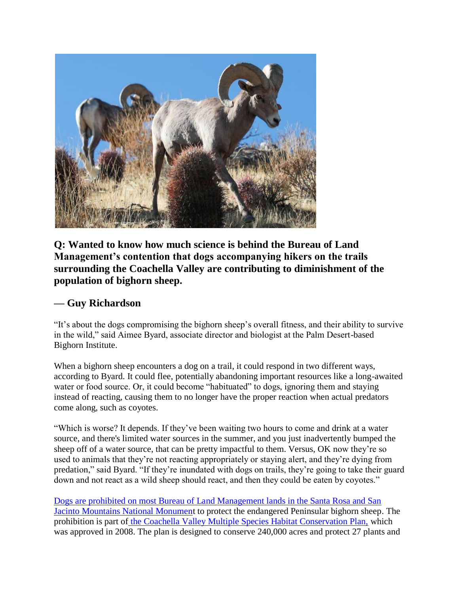

**Q: Wanted to know how much science is behind the Bureau of Land Management's contention that dogs accompanying hikers on the trails surrounding the Coachella Valley are contributing to diminishment of the population of bighorn sheep.**

## **— Guy Richardson**

"It's about the dogs compromising the bighorn sheep's overall fitness, and their ability to survive in the wild," said Aimee Byard, associate director and biologist at the Palm Desert-based Bighorn Institute.

When a bighorn sheep encounters a dog on a trail, it could respond in two different ways, according to Byard. It could flee, potentially abandoning important resources like a long-awaited water or food source. Or, it could become "habituated" to dogs, ignoring them and staying instead of reacting, causing them to no longer have the proper reaction when actual predators come along, such as coyotes.

"Which is worse? It depends. If they've been waiting two hours to come and drink at a water source, and there's limited water sources in the summer, and you just inadvertently bumped the sheep off of a water source, that can be pretty impactful to them. Versus, OK now they're so used to animals that they're not reacting appropriately or staying alert, and they're dying from predation," said Byard. "If they're inundated with dogs on trails, they're going to take their guard down and not react as a wild sheep should react, and then they could be eaten by coyotes."

[Dogs are prohibited on most Bureau of Land Management lands in the Santa Rosa and San](https://www.blm.gov/sites/blm.gov/files/programs-nlcs-california-santa-rosa-san-jacinto-national-monument-hiking-with-dogs.pdf)  [Jacinto Mountains National Monument](https://www.blm.gov/sites/blm.gov/files/programs-nlcs-california-santa-rosa-san-jacinto-national-monument-hiking-with-dogs.pdf) to protect the endangered Peninsular bighorn sheep. The prohibition is part of [the Coachella Valley Multiple Species Habitat Conservation Plan,](https://cvmshcp.org/Plan%20Documents/14.%20CVAG%20MSHCP%20Plan%20Section%207.0.pdf) which was approved in 2008. The plan is designed to conserve 240,000 acres and protect 27 plants and